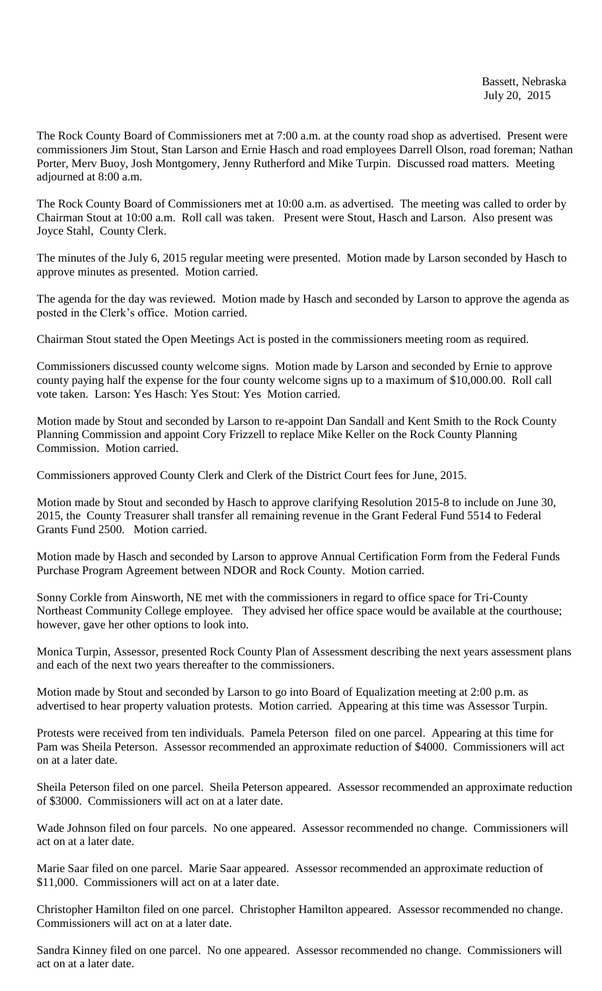The Rock County Board of Commissioners met at 7:00 a.m. at the county road shop as advertised. Present were commissioners Jim Stout, Stan Larson and Ernie Hasch and road employees Darrell Olson, road foreman; Nathan Porter, Merv Buoy, Josh Montgomery, Jenny Rutherford and Mike Turpin. Discussed road matters. Meeting adjourned at 8:00 a.m.

The Rock County Board of Commissioners met at 10:00 a.m. as advertised. The meeting was called to order by Chairman Stout at 10:00 a.m. Roll call was taken. Present were Stout, Hasch and Larson. Also present was Joyce Stahl, County Clerk.

The minutes of the July 6, 2015 regular meeting were presented. Motion made by Larson seconded by Hasch to approve minutes as presented. Motion carried.

The agenda for the day was reviewed. Motion made by Hasch and seconded by Larson to approve the agenda as posted in the Clerk's office. Motion carried.

Chairman Stout stated the Open Meetings Act is posted in the commissioners meeting room as required.

Commissioners discussed county welcome signs. Motion made by Larson and seconded by Ernie to approve county paying half the expense for the four county welcome signs up to a maximum of \$10,000.00. Roll call vote taken. Larson: Yes Hasch: Yes Stout: Yes Motion carried.

Motion made by Stout and seconded by Larson to re-appoint Dan Sandall and Kent Smith to the Rock County Planning Commission and appoint Cory Frizzell to replace Mike Keller on the Rock County Planning Commission. Motion carried.

Commissioners approved County Clerk and Clerk of the District Court fees for June, 2015.

Motion made by Stout and seconded by Hasch to approve clarifying Resolution 2015-8 to include on June 30, 2015, the County Treasurer shall transfer all remaining revenue in the Grant Federal Fund 5514 to Federal Grants Fund 2500. Motion carried.

Motion made by Hasch and seconded by Larson to approve Annual Certification Form from the Federal Funds Purchase Program Agreement between NDOR and Rock County. Motion carried.

Sonny Corkle from Ainsworth, NE met with the commissioners in regard to office space for Tri-County Northeast Community College employee. They advised her office space would be available at the courthouse; however, gave her other options to look into.

Monica Turpin, Assessor, presented Rock County Plan of Assessment describing the next years assessment plans and each of the next two years thereafter to the commissioners.

Motion made by Stout and seconded by Larson to go into Board of Equalization meeting at 2:00 p.m. as advertised to hear property valuation protests. Motion carried. Appearing at this time was Assessor Turpin.

Protests were received from ten individuals. Pamela Peterson filed on one parcel. Appearing at this time for Pam was Sheila Peterson. Assessor recommended an approximate reduction of \$4000. Commissioners will act on at a later date.

Sheila Peterson filed on one parcel. Sheila Peterson appeared. Assessor recommended an approximate reduction of \$3000. Commissioners will act on at a later date.

Wade Johnson filed on four parcels. No one appeared. Assessor recommended no change. Commissioners will act on at a later date.

Marie Saar filed on one parcel. Marie Saar appeared. Assessor recommended an approximate reduction of \$11,000. Commissioners will act on at a later date.

Christopher Hamilton filed on one parcel. Christopher Hamilton appeared. Assessor recommended no change. Commissioners will act on at a later date.

Sandra Kinney filed on one parcel. No one appeared. Assessor recommended no change. Commissioners will act on at a later date.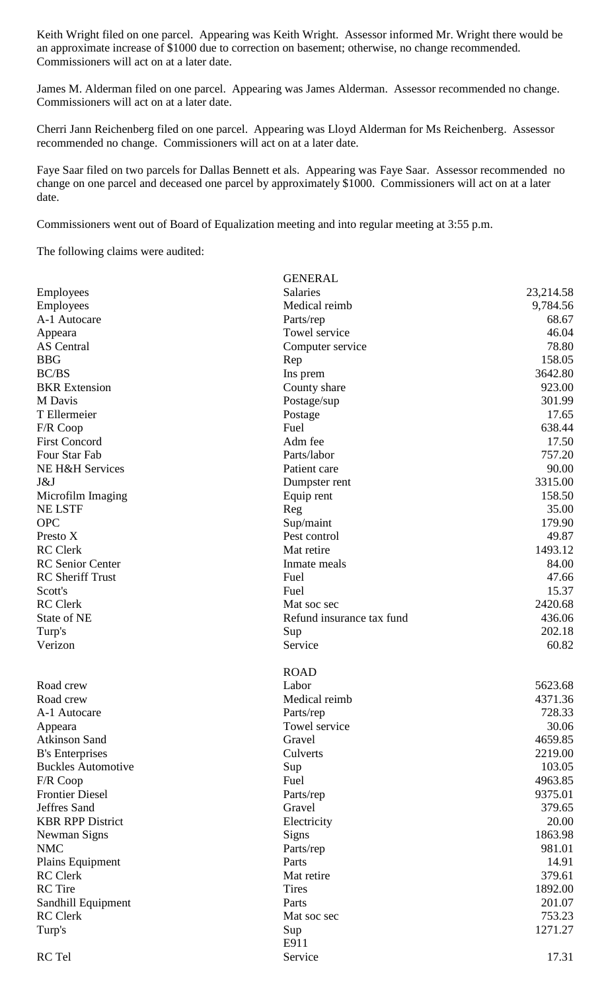Keith Wright filed on one parcel. Appearing was Keith Wright. Assessor informed Mr. Wright there would be an approximate increase of \$1000 due to correction on basement; otherwise, no change recommended. Commissioners will act on at a later date.

James M. Alderman filed on one parcel. Appearing was James Alderman. Assessor recommended no change. Commissioners will act on at a later date.

Cherri Jann Reichenberg filed on one parcel. Appearing was Lloyd Alderman for Ms Reichenberg. Assessor recommended no change. Commissioners will act on at a later date.

Faye Saar filed on two parcels for Dallas Bennett et als. Appearing was Faye Saar. Assessor recommended no change on one parcel and deceased one parcel by approximately \$1000. Commissioners will act on at a later date.

Commissioners went out of Board of Equalization meeting and into regular meeting at 3:55 p.m.

The following claims were audited:

|                           | <b>GENERAL</b>            |           |
|---------------------------|---------------------------|-----------|
| Employees                 | Salaries                  | 23,214.58 |
| Employees                 | Medical reimb             | 9,784.56  |
| A-1 Autocare              | Parts/rep                 | 68.67     |
| Appeara                   | Towel service             | 46.04     |
| AS Central                | Computer service          | 78.80     |
| <b>BBG</b>                | Rep                       | 158.05    |
| BC/BS                     | Ins prem                  | 3642.80   |
| <b>BKR</b> Extension      | County share              | 923.00    |
| M Davis                   | Postage/sup               | 301.99    |
| T Ellermeier              | Postage                   | 17.65     |
| F/R Coop                  | Fuel                      | 638.44    |
| <b>First Concord</b>      | Adm fee                   | 17.50     |
| Four Star Fab             | Parts/labor               | 757.20    |
| NE H&H Services           | Patient care              | 90.00     |
| J&J                       | Dumpster rent             | 3315.00   |
| Microfilm Imaging         | Equip rent                | 158.50    |
| <b>NE LSTF</b>            | Reg                       | 35.00     |
| <b>OPC</b>                | Sup/maint                 | 179.90    |
| Presto X                  | Pest control              | 49.87     |
| <b>RC</b> Clerk           | Mat retire                | 1493.12   |
| <b>RC</b> Senior Center   | Inmate meals              | 84.00     |
| <b>RC</b> Sheriff Trust   | Fuel                      | 47.66     |
| Scott's                   | Fuel                      | 15.37     |
| <b>RC</b> Clerk           | Mat soc sec               | 2420.68   |
| State of NE               | Refund insurance tax fund | 436.06    |
| Turp's                    | Sup                       | 202.18    |
| Verizon                   | Service                   | 60.82     |
|                           |                           |           |
|                           | <b>ROAD</b>               |           |
| Road crew                 | Labor                     | 5623.68   |
| Road crew                 | Medical reimb             | 4371.36   |
| A-1 Autocare              | Parts/rep                 | 728.33    |
| Appeara                   | Towel service             | 30.06     |
| <b>Atkinson Sand</b>      | Gravel                    | 4659.85   |
| <b>B's Enterprises</b>    | Culverts                  | 2219.00   |
| <b>Buckles Automotive</b> | Sup                       | 103.05    |
| F/R Coop                  | Fuel                      | 4963.85   |
| <b>Frontier Diesel</b>    | Parts/rep                 | 9375.01   |
| Jeffres Sand              | Gravel                    | 379.65    |
| <b>KBR RPP District</b>   | Electricity               | 20.00     |
| Newman Signs              | <b>Signs</b>              | 1863.98   |
| <b>NMC</b>                | Parts/rep                 | 981.01    |
| Plains Equipment          | Parts                     | 14.91     |
| <b>RC</b> Clerk           | Mat retire                | 379.61    |
| <b>RC</b> Tire            | <b>Tires</b>              | 1892.00   |
| Sandhill Equipment        | Parts                     | 201.07    |
| <b>RC</b> Clerk           | Mat soc sec               | 753.23    |
| Turp's                    | Sup                       | 1271.27   |
|                           | E911                      |           |
| RC Tel                    | Service                   | 17.31     |